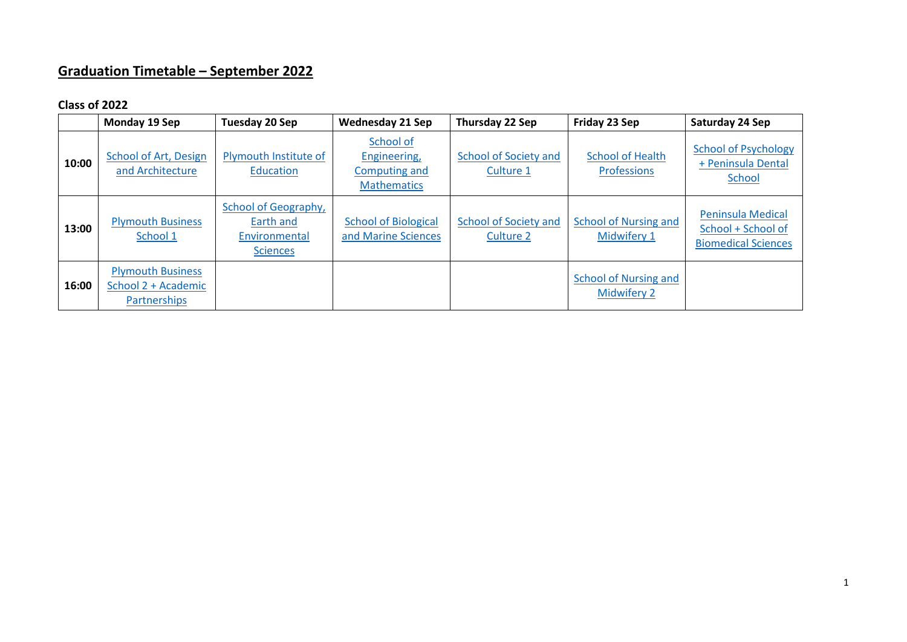# **Graduation Timetable – September 2022**

## **Class of 2022**

|       | Monday 19 Sep                                                   | Tuesday 20 Sep                                                        | <b>Wednesday 21 Sep</b>                                          | Thursday 22 Sep                           | Friday 23 Sep                                      | Saturday 24 Sep                                                              |
|-------|-----------------------------------------------------------------|-----------------------------------------------------------------------|------------------------------------------------------------------|-------------------------------------------|----------------------------------------------------|------------------------------------------------------------------------------|
| 10:00 | School of Art, Design<br>and Architecture                       | Plymouth Institute of<br>Education                                    | School of<br>Engineering,<br>Computing and<br><b>Mathematics</b> | School of Society and<br>Culture 1        | <b>School of Health</b><br>Professions             | <b>School of Psychology</b><br>+ Peninsula Dental<br>School                  |
| 13:00 | <b>Plymouth Business</b><br>School 1                            | School of Geography,<br>Earth and<br>Environmental<br><b>Sciences</b> | <b>School of Biological</b><br>and Marine Sciences               | <b>School of Society and</b><br>Culture 2 | <b>School of Nursing and</b><br>Midwifery 1        | <b>Peninsula Medical</b><br>School + School of<br><b>Biomedical Sciences</b> |
| 16:00 | <b>Plymouth Business</b><br>School 2 + Academic<br>Partnerships |                                                                       |                                                                  |                                           | <b>School of Nursing and</b><br><b>Midwifery 2</b> |                                                                              |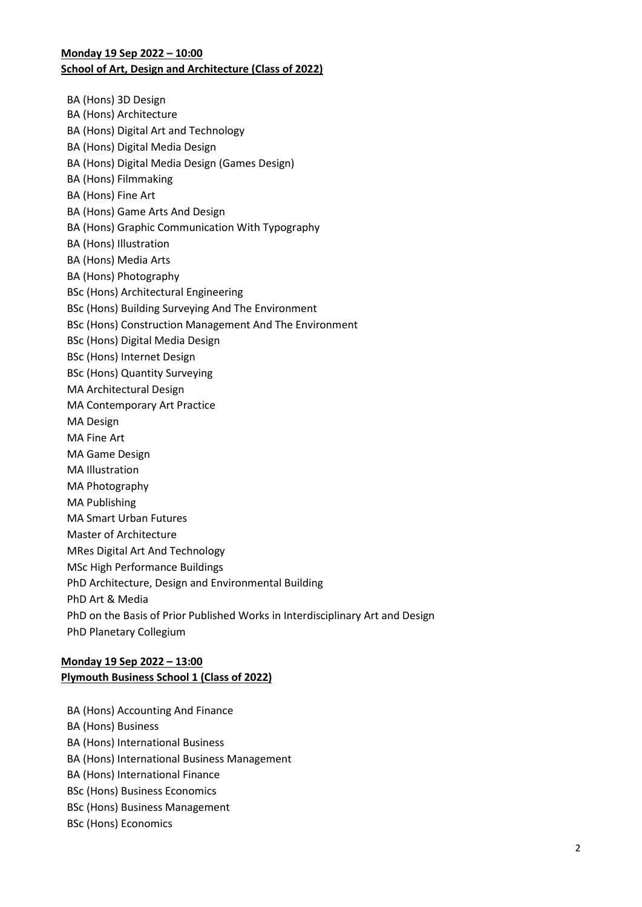#### <span id="page-1-0"></span>**Monday 19 Sep 2022 – 10:00 School of Art, Design and Architecture (Class of 2022)**

BA (Hons) 3D Design BA (Hons) Architecture BA (Hons) Digital Art and Technology BA (Hons) Digital Media Design BA (Hons) Digital Media Design (Games Design) BA (Hons) Filmmaking BA (Hons) Fine Art BA (Hons) Game Arts And Design BA (Hons) Graphic Communication With Typography BA (Hons) Illustration BA (Hons) Media Arts BA (Hons) Photography BSc (Hons) Architectural Engineering BSc (Hons) Building Surveying And The Environment BSc (Hons) Construction Management And The Environment BSc (Hons) Digital Media Design BSc (Hons) Internet Design BSc (Hons) Quantity Surveying MA Architectural Design MA Contemporary Art Practice MA Design MA Fine Art MA Game Design MA Illustration MA Photography MA Publishing MA Smart Urban Futures Master of Architecture MRes Digital Art And Technology MSc High Performance Buildings PhD Architecture, Design and Environmental Building PhD Art & Media PhD on the Basis of Prior Published Works in Interdisciplinary Art and Design PhD Planetary Collegium

#### <span id="page-1-1"></span>**Monday 19 Sep 2022 – 13:00 Plymouth Business School 1 (Class of 2022)**

BA (Hons) Accounting And Finance BA (Hons) Business BA (Hons) International Business BA (Hons) International Business Management BA (Hons) International Finance BSc (Hons) Business Economics BSc (Hons) Business Management BSc (Hons) Economics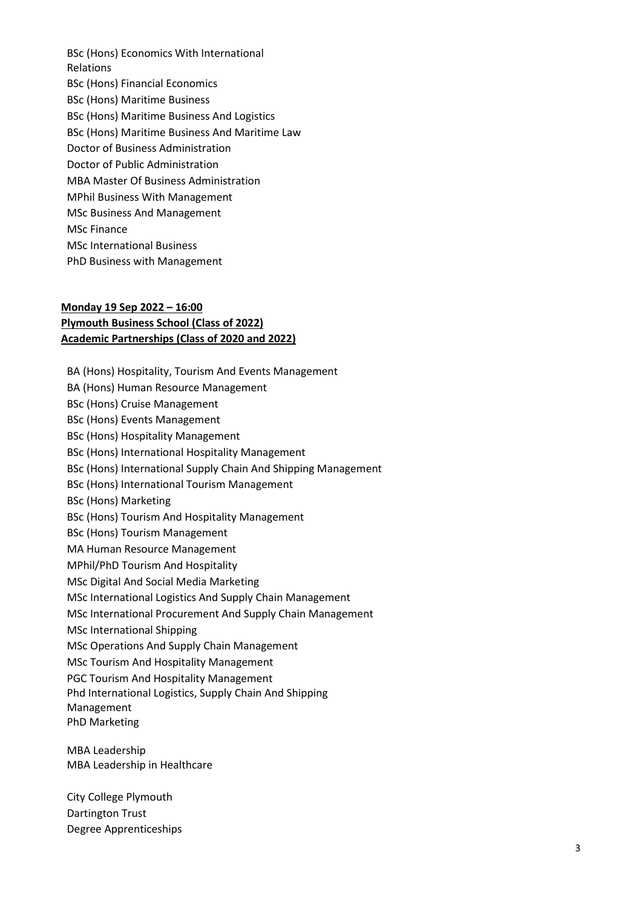- <span id="page-2-0"></span>BSc (Hons) Economics With International Relations BSc (Hons) Financial Economics BSc (Hons) Maritime Business BSc (Hons) Maritime Business And Logistics BSc (Hons) Maritime Business And Maritime Law Doctor of Business Administration Doctor of Public Administration MBA Master Of Business Administration MPhil Business With Management MSc Business And Management MSc Finance MSc International Business
- PhD Business with Management

## **Monday 19 Sep 2022 – 16:00 Plymouth Business School (Class of 2022) Academic Partnerships (Class of 2020 and 2022)**

BA (Hons) Hospitality, Tourism And Events Management BA (Hons) Human Resource Management BSc (Hons) Cruise Management BSc (Hons) Events Management BSc (Hons) Hospitality Management BSc (Hons) International Hospitality Management BSc (Hons) International Supply Chain And Shipping Management BSc (Hons) International Tourism Management BSc (Hons) Marketing BSc (Hons) Tourism And Hospitality Management BSc (Hons) Tourism Management MA Human Resource Management MPhil/PhD Tourism And Hospitality MSc Digital And Social Media Marketing MSc International Logistics And Supply Chain Management MSc International Procurement And Supply Chain Management MSc International Shipping MSc Operations And Supply Chain Management MSc Tourism And Hospitality Management PGC Tourism And Hospitality Management Phd International Logistics, Supply Chain And Shipping Management PhD Marketing

MBA Leadership MBA Leadership in Healthcare

City College Plymouth Dartington Trust Degree Apprenticeships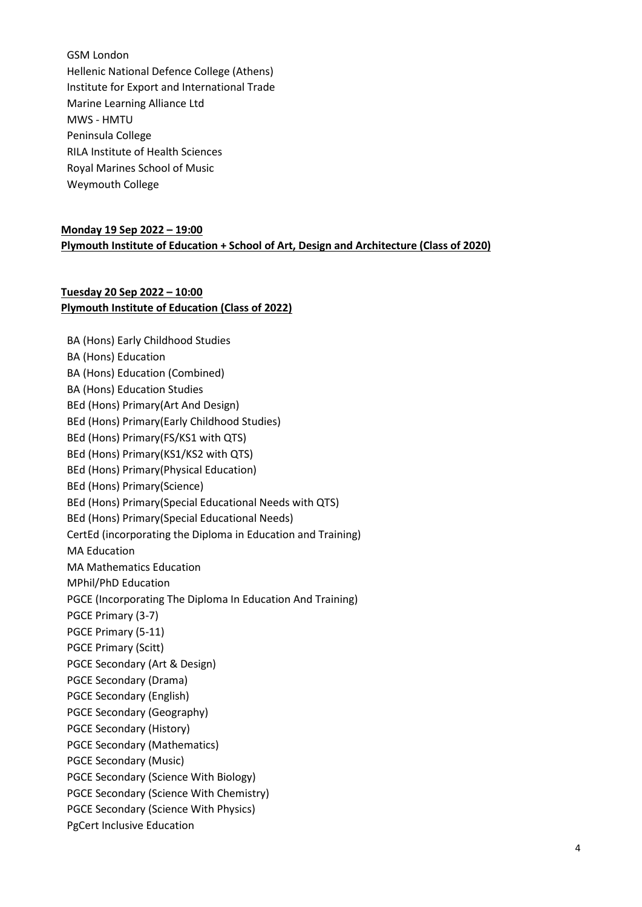<span id="page-3-0"></span>GSM London Hellenic National Defence College (Athens) Institute for Export and International Trade Marine Learning Alliance Ltd MWS - HMTU Peninsula College RILA Institute of Health Sciences Royal Marines School of Music Weymouth College

## **Monday 19 Sep 2022 – 19:00 Plymouth Institute of Education + School of Art, Design and Architecture (Class of 2020)**

#### **Tuesday 20 Sep 2022 – 10:00 Plymouth Institute of Education (Class of 2022)**

BA (Hons) Early Childhood Studies BA (Hons) Education BA (Hons) Education (Combined) BA (Hons) Education Studies BEd (Hons) Primary(Art And Design) BEd (Hons) Primary(Early Childhood Studies) BEd (Hons) Primary(FS/KS1 with QTS) BEd (Hons) Primary(KS1/KS2 with QTS) BEd (Hons) Primary(Physical Education) BEd (Hons) Primary(Science) BEd (Hons) Primary(Special Educational Needs with QTS) BEd (Hons) Primary(Special Educational Needs) CertEd (incorporating the Diploma in Education and Training) MA Education MA Mathematics Education MPhil/PhD Education PGCE (Incorporating The Diploma In Education And Training) PGCE Primary (3-7) PGCE Primary (5-11) PGCE Primary (Scitt) PGCE Secondary (Art & Design) PGCE Secondary (Drama) PGCE Secondary (English) PGCE Secondary (Geography) PGCE Secondary (History) PGCE Secondary (Mathematics) PGCE Secondary (Music) PGCE Secondary (Science With Biology) PGCE Secondary (Science With Chemistry) PGCE Secondary (Science With Physics) PgCert Inclusive Education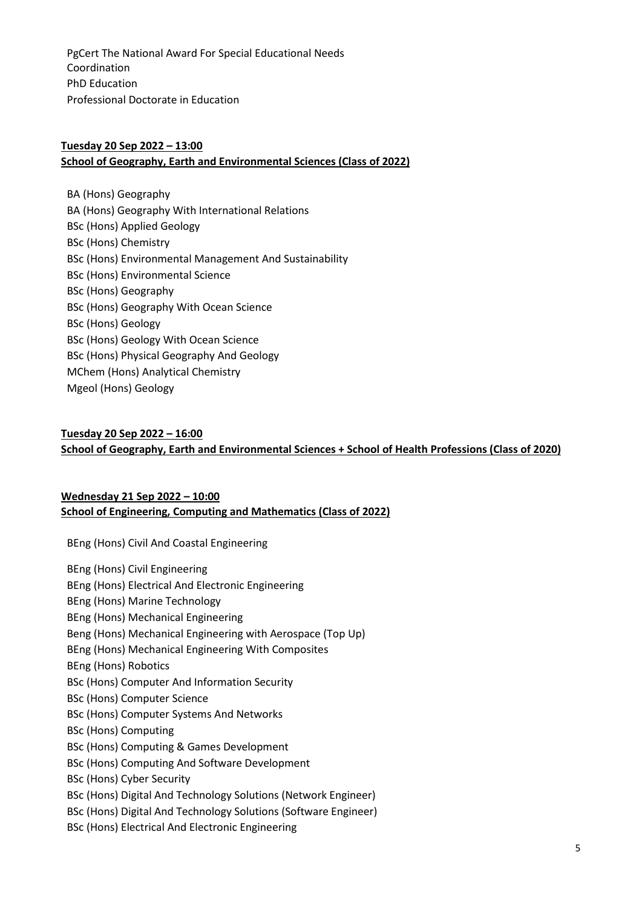<span id="page-4-1"></span>PgCert The National Award For Special Educational Needs Coordination PhD Education Professional Doctorate in Education

## **Tuesday 20 Sep 2022 – 13:00 School of Geography, Earth and Environmental Sciences (Class of 2022)**

<span id="page-4-0"></span>BA (Hons) Geography BA (Hons) Geography With International Relations BSc (Hons) Applied Geology BSc (Hons) Chemistry BSc (Hons) Environmental Management And Sustainability BSc (Hons) Environmental Science BSc (Hons) Geography BSc (Hons) Geography With Ocean Science BSc (Hons) Geology BSc (Hons) Geology With Ocean Science BSc (Hons) Physical Geography And Geology MChem (Hons) Analytical Chemistry Mgeol (Hons) Geology

## **Tuesday 20 Sep 2022 – 16:00 School of Geography, Earth and Environmental Sciences + School of Health Professions (Class of 2020)**

## **Wednesday 21 Sep 2022 – 10:00 School of Engineering, Computing and Mathematics (Class of 2022)**

BEng (Hons) Civil And Coastal Engineering

BEng (Hons) Civil Engineering

BEng (Hons) Electrical And Electronic Engineering

BEng (Hons) Marine Technology

BEng (Hons) Mechanical Engineering

Beng (Hons) Mechanical Engineering with Aerospace (Top Up)

BEng (Hons) Mechanical Engineering With Composites

BEng (Hons) Robotics

BSc (Hons) Computer And Information Security

BSc (Hons) Computer Science

BSc (Hons) Computer Systems And Networks

BSc (Hons) Computing

BSc (Hons) Computing & Games Development

BSc (Hons) Computing And Software Development

BSc (Hons) Cyber Security

BSc (Hons) Digital And Technology Solutions (Network Engineer)

BSc (Hons) Digital And Technology Solutions (Software Engineer)

BSc (Hons) Electrical And Electronic Engineering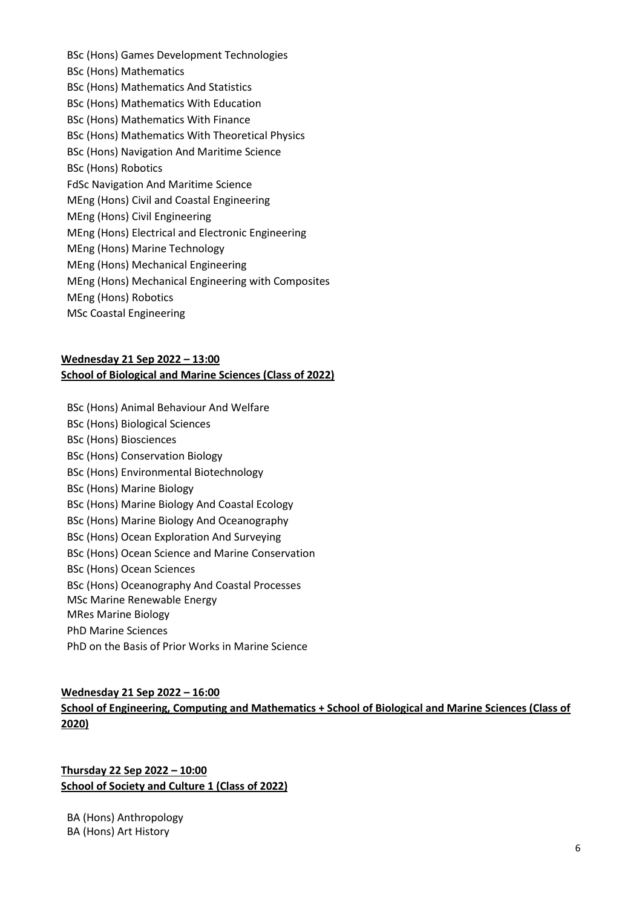<span id="page-5-1"></span>BSc (Hons) Games Development Technologies BSc (Hons) Mathematics BSc (Hons) Mathematics And Statistics BSc (Hons) Mathematics With Education BSc (Hons) Mathematics With Finance BSc (Hons) Mathematics With Theoretical Physics BSc (Hons) Navigation And Maritime Science BSc (Hons) Robotics FdSc Navigation And Maritime Science MEng (Hons) Civil and Coastal Engineering MEng (Hons) Civil Engineering MEng (Hons) Electrical and Electronic Engineering MEng (Hons) Marine Technology MEng (Hons) Mechanical Engineering MEng (Hons) Mechanical Engineering with Composites MEng (Hons) Robotics MSc Coastal Engineering

#### **Wednesday 21 Sep 2022 – 13:00 School of Biological and Marine Sciences (Class of 2022)**

<span id="page-5-0"></span>BSc (Hons) Animal Behaviour And Welfare BSc (Hons) Biological Sciences BSc (Hons) Biosciences BSc (Hons) Conservation Biology BSc (Hons) Environmental Biotechnology BSc (Hons) Marine Biology BSc (Hons) Marine Biology And Coastal Ecology BSc (Hons) Marine Biology And Oceanography BSc (Hons) Ocean Exploration And Surveying BSc (Hons) Ocean Science and Marine Conservation BSc (Hons) Ocean Sciences BSc (Hons) Oceanography And Coastal Processes MSc Marine Renewable Energy MRes Marine Biology PhD Marine Sciences PhD on the Basis of Prior Works in Marine Science

## **Wednesday 21 Sep 2022 – 16:00 School of Engineering, Computing and Mathematics + School of Biological and Marine Sciences (Class of 2020)**

## **Thursday 22 Sep 2022 – 10:00 School of Society and Culture 1 (Class of 2022)**

BA (Hons) Anthropology BA (Hons) Art History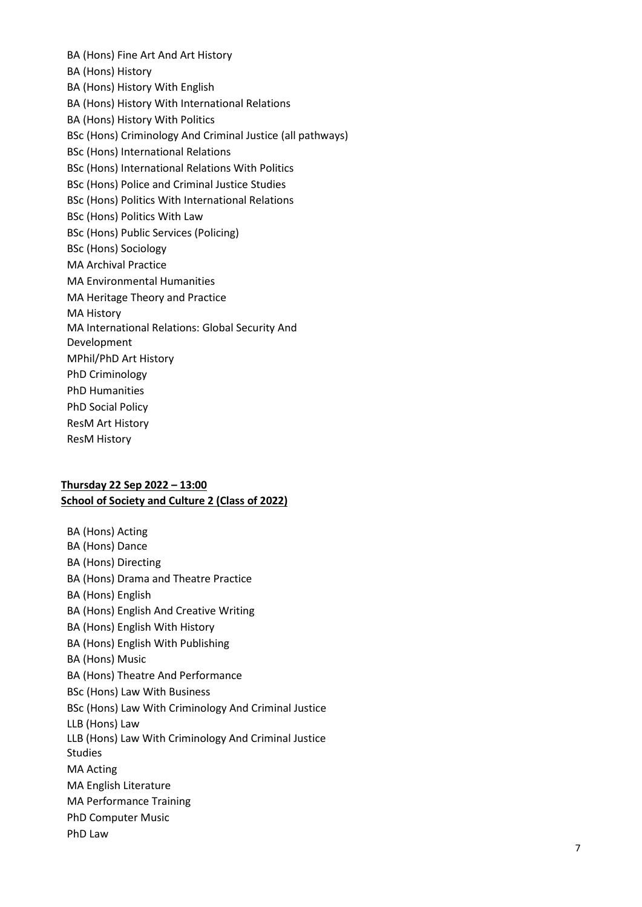<span id="page-6-0"></span>BA (Hons) Fine Art And Art History BA (Hons) History BA (Hons) History With English BA (Hons) History With International Relations BA (Hons) History With Politics BSc (Hons) Criminology And Criminal Justice (all pathways) BSc (Hons) International Relations BSc (Hons) International Relations With Politics BSc (Hons) Police and Criminal Justice Studies BSc (Hons) Politics With International Relations BSc (Hons) Politics With Law BSc (Hons) Public Services (Policing) BSc (Hons) Sociology MA Archival Practice MA Environmental Humanities MA Heritage Theory and Practice MA History MA International Relations: Global Security And Development MPhil/PhD Art History PhD Criminology PhD Humanities PhD Social Policy ResM Art History ResM History

#### **Thursday 22 Sep 2022 – 13:00 School of Society and Culture 2 (Class of 2022)**

BA (Hons) Acting BA (Hons) Dance BA (Hons) Directing BA (Hons) Drama and Theatre Practice BA (Hons) English BA (Hons) English And Creative Writing BA (Hons) English With History BA (Hons) English With Publishing BA (Hons) Music BA (Hons) Theatre And Performance BSc (Hons) Law With Business BSc (Hons) Law With Criminology And Criminal Justice LLB (Hons) Law LLB (Hons) Law With Criminology And Criminal Justice Studies MA Acting MA English Literature MA Performance Training PhD Computer Music PhD Law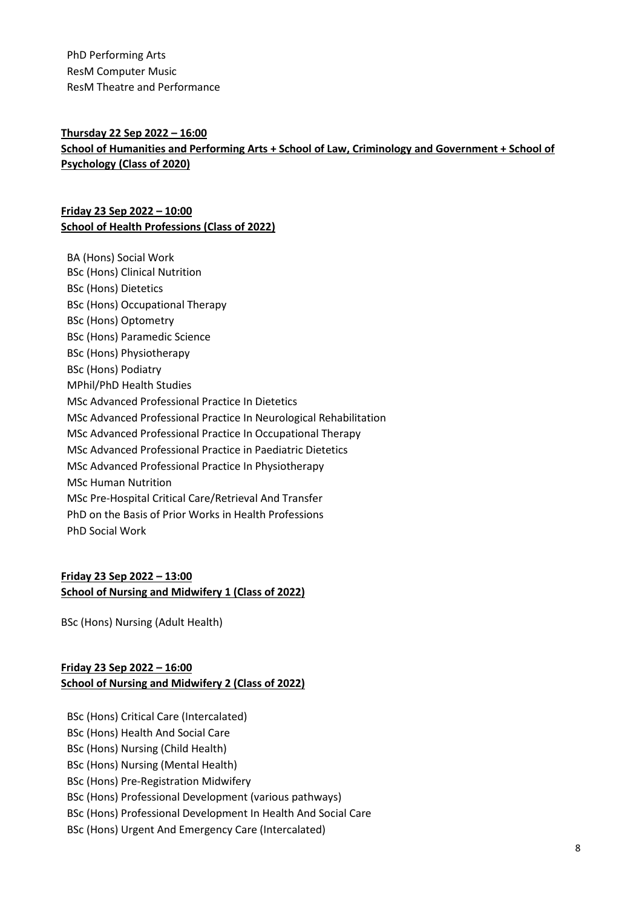<span id="page-7-0"></span>PhD Performing Arts ResM Computer Music ResM Theatre and Performance

**Thursday 22 Sep 2022 – 16:00 School of Humanities and Performing Arts + School of Law, Criminology and Government + School of Psychology (Class of 2020)**

#### **Friday 23 Sep 2022 – 10:00 School of Health Professions (Class of 2022)**

<span id="page-7-2"></span><span id="page-7-1"></span>BA (Hons) Social Work BSc (Hons) Clinical Nutrition BSc (Hons) Dietetics BSc (Hons) Occupational Therapy BSc (Hons) Optometry BSc (Hons) Paramedic Science BSc (Hons) Physiotherapy BSc (Hons) Podiatry MPhil/PhD Health Studies MSc Advanced Professional Practice In Dietetics MSc Advanced Professional Practice In Neurological Rehabilitation MSc Advanced Professional Practice In Occupational Therapy MSc Advanced Professional Practice in Paediatric Dietetics MSc Advanced Professional Practice In Physiotherapy MSc Human Nutrition MSc Pre-Hospital Critical Care/Retrieval And Transfer PhD on the Basis of Prior Works in Health Professions PhD Social Work

## **Friday 23 Sep 2022 – 13:00 School of Nursing and Midwifery 1 (Class of 2022)**

BSc (Hons) Nursing (Adult Health)

## **Friday 23 Sep 2022 – 16:00 School of Nursing and Midwifery 2 (Class of 2022)**

- BSc (Hons) Critical Care (Intercalated)
- BSc (Hons) Health And Social Care
- BSc (Hons) Nursing (Child Health)
- BSc (Hons) Nursing (Mental Health)
- BSc (Hons) Pre-Registration Midwifery
- BSc (Hons) Professional Development (various pathways)
- BSc (Hons) Professional Development In Health And Social Care
- BSc (Hons) Urgent And Emergency Care (Intercalated)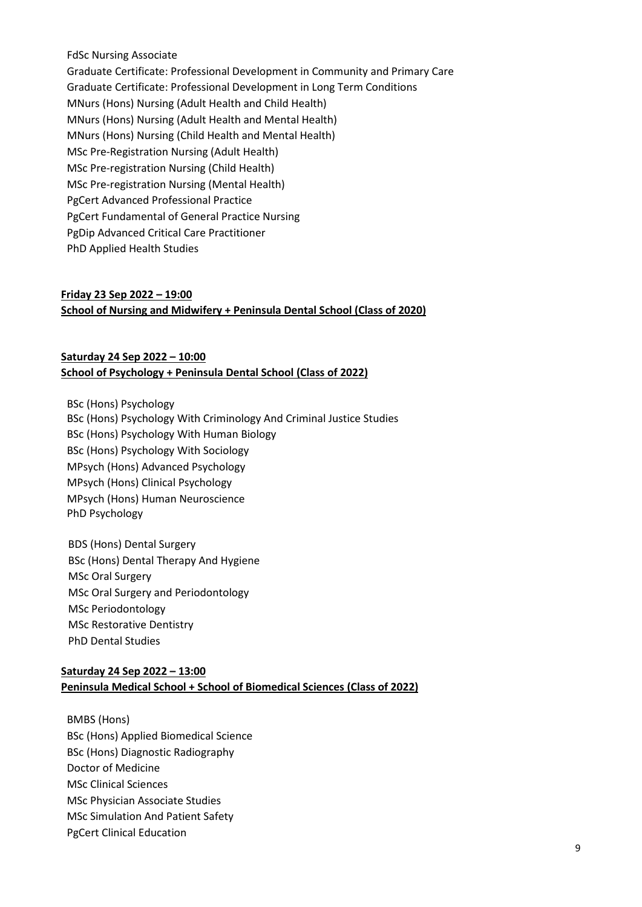#### FdSc Nursing Associate

<span id="page-8-0"></span>Graduate Certificate: Professional Development in Community and Primary Care Graduate Certificate: Professional Development in Long Term Conditions MNurs (Hons) Nursing (Adult Health and Child Health) MNurs (Hons) Nursing (Adult Health and Mental Health) MNurs (Hons) Nursing (Child Health and Mental Health) MSc Pre-Registration Nursing (Adult Health) MSc Pre-registration Nursing (Child Health) MSc Pre-registration Nursing (Mental Health) PgCert Advanced Professional Practice PgCert Fundamental of General Practice Nursing PgDip Advanced Critical Care Practitioner PhD Applied Health Studies

#### **Friday 23 Sep 2022 – 19:00 School of Nursing and Midwifery + Peninsula Dental School (Class of 2020)**

#### **Saturday 24 Sep 2022 – 10:00 School of Psychology + Peninsula Dental School (Class of 2022)**

<span id="page-8-1"></span>BSc (Hons) Psychology BSc (Hons) Psychology With Criminology And Criminal Justice Studies BSc (Hons) Psychology With Human Biology BSc (Hons) Psychology With Sociology MPsych (Hons) Advanced Psychology MPsych (Hons) Clinical Psychology MPsych (Hons) Human Neuroscience PhD Psychology

BDS (Hons) Dental Surgery BSc (Hons) Dental Therapy And Hygiene MSc Oral Surgery MSc Oral Surgery and Periodontology MSc Periodontology MSc Restorative Dentistry PhD Dental Studies

#### **Saturday 24 Sep 2022 – 13:00 Peninsula Medical School + School of Biomedical Sciences (Class of 2022)**

BMBS (Hons) BSc (Hons) Applied Biomedical Science BSc (Hons) Diagnostic Radiography Doctor of Medicine MSc Clinical Sciences MSc Physician Associate Studies MSc Simulation And Patient Safety PgCert Clinical Education